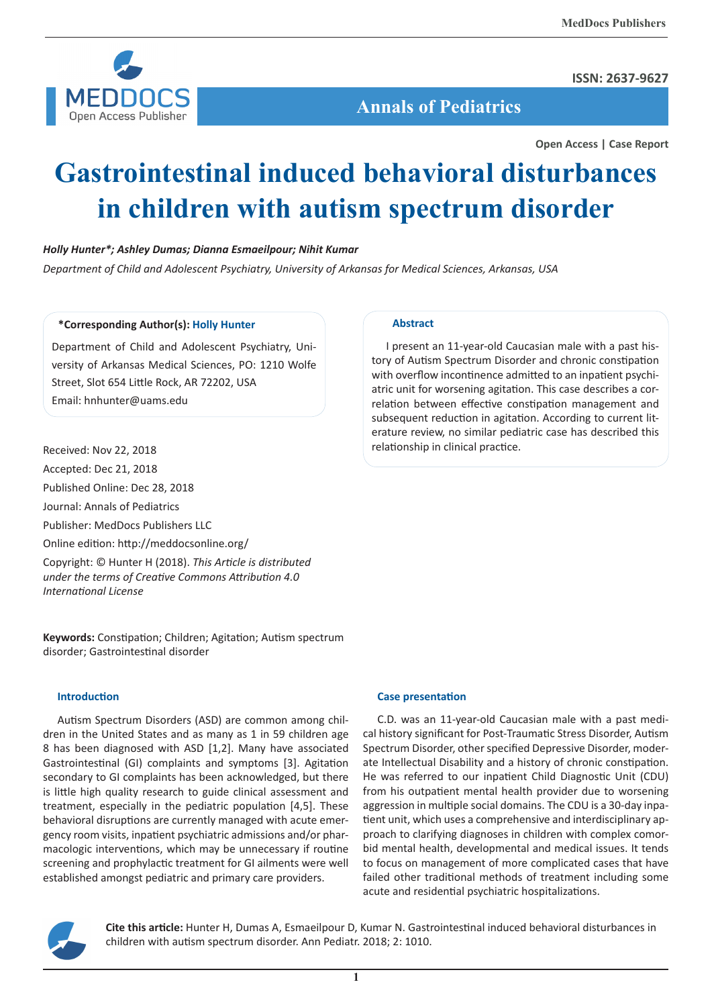

**ISSN: 2637-9627**

 **Annals of Pediatrics**

**Open Access | Case Report**

# **Gastrointestinal induced behavioral disturbances in children with autism spectrum disorder**

## *Holly Hunter\*; Ashley Dumas; Dianna Esmaeilpour; Nihit Kumar*

*Department of Child and Adolescent Psychiatry, University of Arkansas for Medical Sciences, Arkansas, USA*

## **\*Corresponding Author(s): Holly Hunter**

Department of Child and Adolescent Psychiatry, University of Arkansas Medical Sciences, PO: 1210 Wolfe Street, Slot 654 Little Rock, AR 72202, USA Email: hnhunter@uams.edu

## Received: Nov 22, 2018

Accepted: Dec 21, 2018

Published Online: Dec 28, 2018

Journal: Annals of Pediatrics

Publisher: MedDocs Publishers LLC

Online edition: http://meddocsonline.org/

Copyright: © Hunter H (2018). *This Article is distributed under the terms of Creative Commons Attribution 4.0 International License*

**Keywords:** Constipation; Children; Agitation; Autism spectrum disorder; Gastrointestinal disorder

## **Introduction**

Autism Spectrum Disorders (ASD) are common among children in the United States and as many as 1 in 59 children age 8 has been diagnosed with ASD [1,2]. Many have associated Gastrointestinal (GI) complaints and symptoms [3]. Agitation secondary to GI complaints has been acknowledged, but there is little high quality research to guide clinical assessment and treatment, especially in the pediatric population [4,5]. These behavioral disruptions are currently managed with acute emergency room visits, inpatient psychiatric admissions and/or pharmacologic interventions, which may be unnecessary if routine screening and prophylactic treatment for GI ailments were well established amongst pediatric and primary care providers.

## **Abstract**

I present an 11-year-old Caucasian male with a past history of Autism Spectrum Disorder and chronic constipation with overflow incontinence admitted to an inpatient psychiatric unit for worsening agitation. This case describes a correlation between effective constipation management and subsequent reduction in agitation. According to current literature review, no similar pediatric case has described this relationship in clinical practice.

## **Case presentation**

C.D. was an 11-year-old Caucasian male with a past medical history significant for Post-Traumatic Stress Disorder, Autism Spectrum Disorder, other specified Depressive Disorder, moderate Intellectual Disability and a history of chronic constipation. He was referred to our inpatient Child Diagnostic Unit (CDU) from his outpatient mental health provider due to worsening aggression in multiple social domains. The CDU is a 30-day inpatient unit, which uses a comprehensive and interdisciplinary approach to clarifying diagnoses in children with complex comorbid mental health, developmental and medical issues. It tends to focus on management of more complicated cases that have failed other traditional methods of treatment including some acute and residential psychiatric hospitalizations.



**Cite this article:** Hunter H, Dumas A, Esmaeilpour D, Kumar N. Gastrointestinal induced behavioral disturbances in children with autism spectrum disorder. Ann Pediatr. 2018; 2: 1010.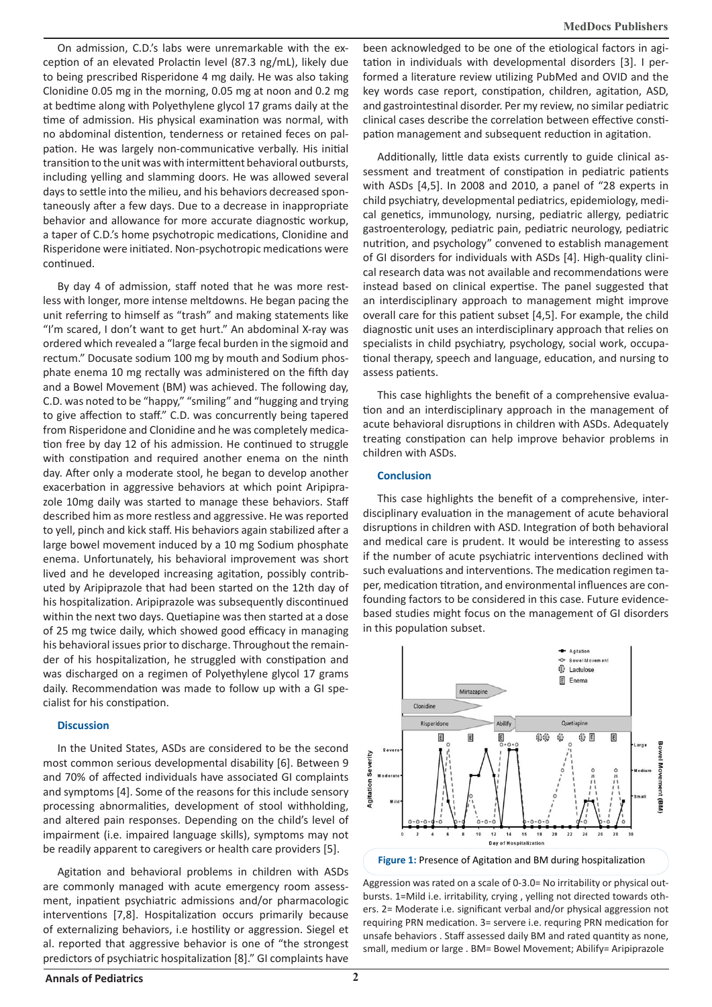On admission, C.D.'s labs were unremarkable with the exception of an elevated Prolactin level (87.3 ng/mL), likely due to being prescribed Risperidone 4 mg daily. He was also taking Clonidine 0.05 mg in the morning, 0.05 mg at noon and 0.2 mg at bedtime along with Polyethylene glycol 17 grams daily at the time of admission. His physical examination was normal, with no abdominal distention, tenderness or retained feces on palpation. He was largely non-communicative verbally. His initial transition to the unit was with intermittent behavioral outbursts, including yelling and slamming doors. He was allowed several days to settle into the milieu, and his behaviors decreased spontaneously after a few days. Due to a decrease in inappropriate behavior and allowance for more accurate diagnostic workup, a taper of C.D.'s home psychotropic medications, Clonidine and Risperidone were initiated. Non-psychotropic medications were continued.

By day 4 of admission, staff noted that he was more restless with longer, more intense meltdowns. He began pacing the unit referring to himself as "trash" and making statements like "I'm scared, I don't want to get hurt." An abdominal X-ray was ordered which revealed a "large fecal burden in the sigmoid and rectum." Docusate sodium 100 mg by mouth and Sodium phosphate enema 10 mg rectally was administered on the fifth day and a Bowel Movement (BM) was achieved. The following day, C.D. was noted to be "happy," "smiling" and "hugging and trying to give affection to staff." C.D. was concurrently being tapered from Risperidone and Clonidine and he was completely medication free by day 12 of his admission. He continued to struggle with constipation and required another enema on the ninth day. After only a moderate stool, he began to develop another exacerbation in aggressive behaviors at which point Aripiprazole 10mg daily was started to manage these behaviors. Staff described him as more restless and aggressive. He was reported to yell, pinch and kick staff. His behaviors again stabilized after a large bowel movement induced by a 10 mg Sodium phosphate enema. Unfortunately, his behavioral improvement was short lived and he developed increasing agitation, possibly contributed by Aripiprazole that had been started on the 12th day of his hospitalization. Aripiprazole was subsequently discontinued within the next two days. Quetiapine was then started at a dose of 25 mg twice daily, which showed good efficacy in managing his behavioral issues prior to discharge. Throughout the remainder of his hospitalization, he struggled with constipation and was discharged on a regimen of Polyethylene glycol 17 grams daily. Recommendation was made to follow up with a GI specialist for his constipation.

#### **Discussion**

In the United States, ASDs are considered to be the second most common serious developmental disability [6]. Between 9 and 70% of affected individuals have associated GI complaints and symptoms [4]. Some of the reasons for this include sensory processing abnormalities, development of stool withholding, and altered pain responses. Depending on the child's level of impairment (i.e. impaired language skills), symptoms may not be readily apparent to caregivers or health care providers [5].

Agitation and behavioral problems in children with ASDs are commonly managed with acute emergency room assessment, inpatient psychiatric admissions and/or pharmacologic interventions [7,8]. Hospitalization occurs primarily because of externalizing behaviors, i.e hostility or aggression. Siegel et al. reported that aggressive behavior is one of "the strongest predictors of psychiatric hospitalization [8]." GI complaints have

been acknowledged to be one of the etiological factors in agitation in individuals with developmental disorders [3]. I performed a literature review utilizing PubMed and OVID and the key words case report, constipation, children, agitation, ASD, and gastrointestinal disorder. Per my review, no similar pediatric clinical cases describe the correlation between effective constipation management and subsequent reduction in agitation.

Additionally, little data exists currently to guide clinical assessment and treatment of constipation in pediatric patients with ASDs [4,5]. In 2008 and 2010, a panel of "28 experts in child psychiatry, developmental pediatrics, epidemiology, medical genetics, immunology, nursing, pediatric allergy, pediatric gastroenterology, pediatric pain, pediatric neurology, pediatric nutrition, and psychology" convened to establish management of GI disorders for individuals with ASDs [4]. High-quality clinical research data was not available and recommendations were instead based on clinical expertise. The panel suggested that an interdisciplinary approach to management might improve overall care for this patient subset [4,5]. For example, the child diagnostic unit uses an interdisciplinary approach that relies on specialists in child psychiatry, psychology, social work, occupational therapy, speech and language, education, and nursing to assess patients.

This case highlights the benefit of a comprehensive evaluation and an interdisciplinary approach in the management of acute behavioral disruptions in children with ASDs. Adequately treating constipation can help improve behavior problems in children with ASDs.

### **Conclusion**

This case highlights the benefit of a comprehensive, interdisciplinary evaluation in the management of acute behavioral disruptions in children with ASD. Integration of both behavioral and medical care is prudent. It would be interesting to assess if the number of acute psychiatric interventions declined with such evaluations and interventions. The medication regimen taper, medication titration, and environmental influences are confounding factors to be considered in this case. Future evidencebased studies might focus on the management of GI disorders in this population subset.



Aggression was rated on a scale of 0-3.0= No irritability or physical outbursts. 1=Mild i.e. irritability, crying , yelling not directed towards others. 2= Moderate i.e. significant verbal and/or physical aggression not requiring PRN medication. 3= servere i.e. requring PRN medication for unsafe behaviors . Staff assessed daily BM and rated quantity as none, small, medium or large . BM= Bowel Movement; Abilify= Aripiprazole